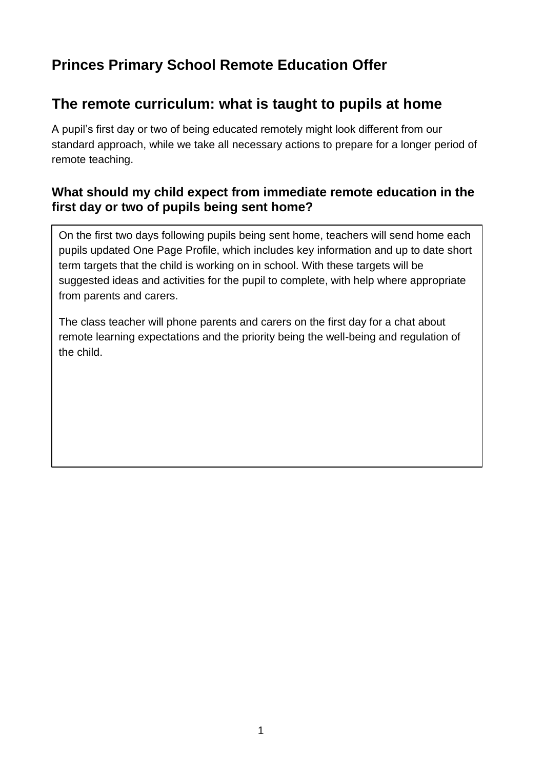# **Princes Primary School Remote Education Offer**

## **The remote curriculum: what is taught to pupils at home**

A pupil's first day or two of being educated remotely might look different from our standard approach, while we take all necessary actions to prepare for a longer period of remote teaching.

### **What should my child expect from immediate remote education in the first day or two of pupils being sent home?**

On the first two days following pupils being sent home, teachers will send home each pupils updated One Page Profile, which includes key information and up to date short term targets that the child is working on in school. With these targets will be suggested ideas and activities for the pupil to complete, with help where appropriate from parents and carers.

The class teacher will phone parents and carers on the first day for a chat about remote learning expectations and the priority being the well-being and regulation of the child.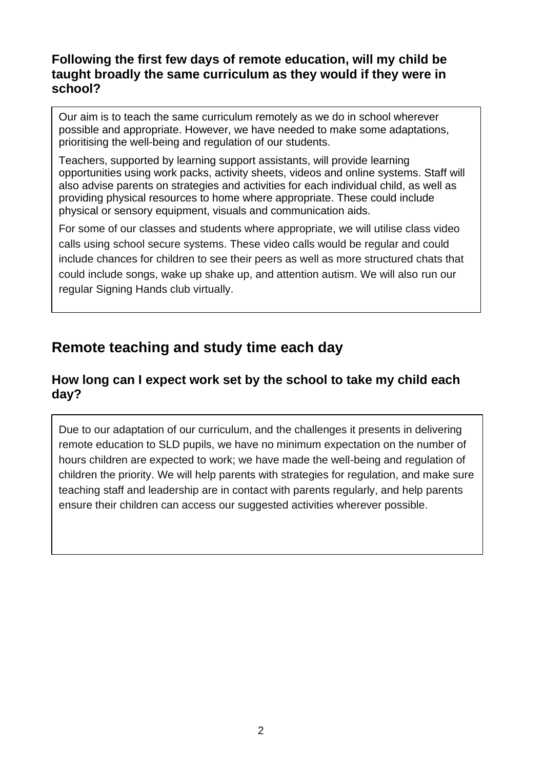#### **Following the first few days of remote education, will my child be taught broadly the same curriculum as they would if they were in school?**

Our aim is to teach the same curriculum remotely as we do in school wherever possible and appropriate. However, we have needed to make some adaptations, prioritising the well-being and regulation of our students.

Teachers, supported by learning support assistants, will provide learning opportunities using work packs, activity sheets, videos and online systems. Staff will also advise parents on strategies and activities for each individual child, as well as providing physical resources to home where appropriate. These could include physical or sensory equipment, visuals and communication aids.

For some of our classes and students where appropriate, we will utilise class video calls using school secure systems. These video calls would be regular and could include chances for children to see their peers as well as more structured chats that could include songs, wake up shake up, and attention autism. We will also run our regular Signing Hands club virtually.

# **Remote teaching and study time each day**

#### **How long can I expect work set by the school to take my child each day?**

Due to our adaptation of our curriculum, and the challenges it presents in delivering remote education to SLD pupils, we have no minimum expectation on the number of hours children are expected to work; we have made the well-being and regulation of children the priority. We will help parents with strategies for regulation, and make sure teaching staff and leadership are in contact with parents regularly, and help parents ensure their children can access our suggested activities wherever possible.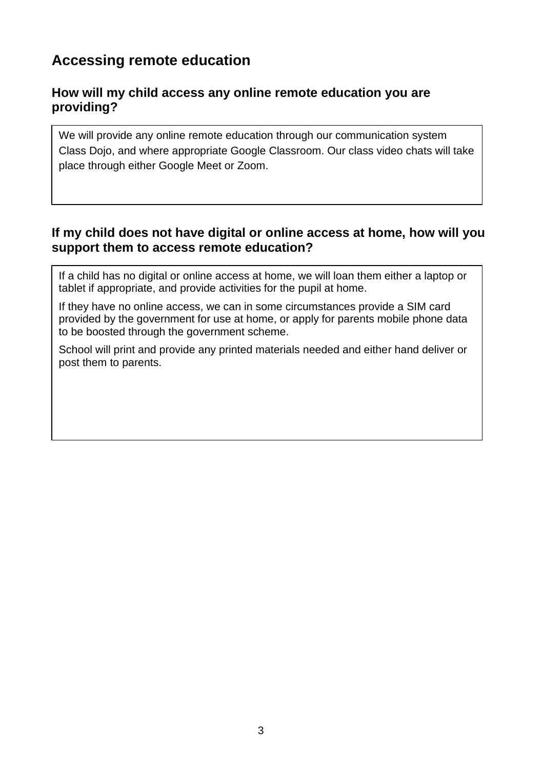# **Accessing remote education**

#### **How will my child access any online remote education you are providing?**

We will provide any online remote education through our communication system Class Dojo, and where appropriate Google Classroom. Our class video chats will take place through either Google Meet or Zoom.

#### **If my child does not have digital or online access at home, how will you support them to access remote education?**

If a child has no digital or online access at home, we will loan them either a laptop or tablet if appropriate, and provide activities for the pupil at home.

If they have no online access, we can in some circumstances provide a SIM card provided by the government for use at home, or apply for parents mobile phone data to be boosted through the government scheme.

School will print and provide any printed materials needed and either hand deliver or post them to parents.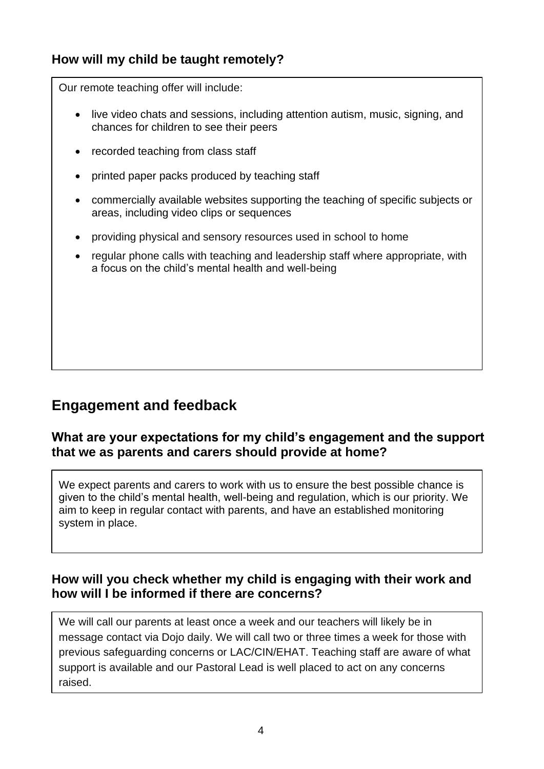## **How will my child be taught remotely?**

Our remote teaching offer will include:

- live video chats and sessions, including attention autism, music, signing, and chances for children to see their peers
- recorded teaching from class staff
- printed paper packs produced by teaching staff
- commercially available websites supporting the teaching of specific subjects or areas, including video clips or sequences
- providing physical and sensory resources used in school to home
- regular phone calls with teaching and leadership staff where appropriate, with a focus on the child's mental health and well-being

## **Engagement and feedback**

#### **What are your expectations for my child's engagement and the support that we as parents and carers should provide at home?**

We expect parents and carers to work with us to ensure the best possible chance is given to the child's mental health, well-being and regulation, which is our priority. We aim to keep in regular contact with parents, and have an established monitoring system in place.

#### **How will you check whether my child is engaging with their work and how will I be informed if there are concerns?**

We will call our parents at least once a week and our teachers will likely be in message contact via Dojo daily. We will call two or three times a week for those with previous safeguarding concerns or LAC/CIN/EHAT. Teaching staff are aware of what support is available and our Pastoral Lead is well placed to act on any concerns raised.